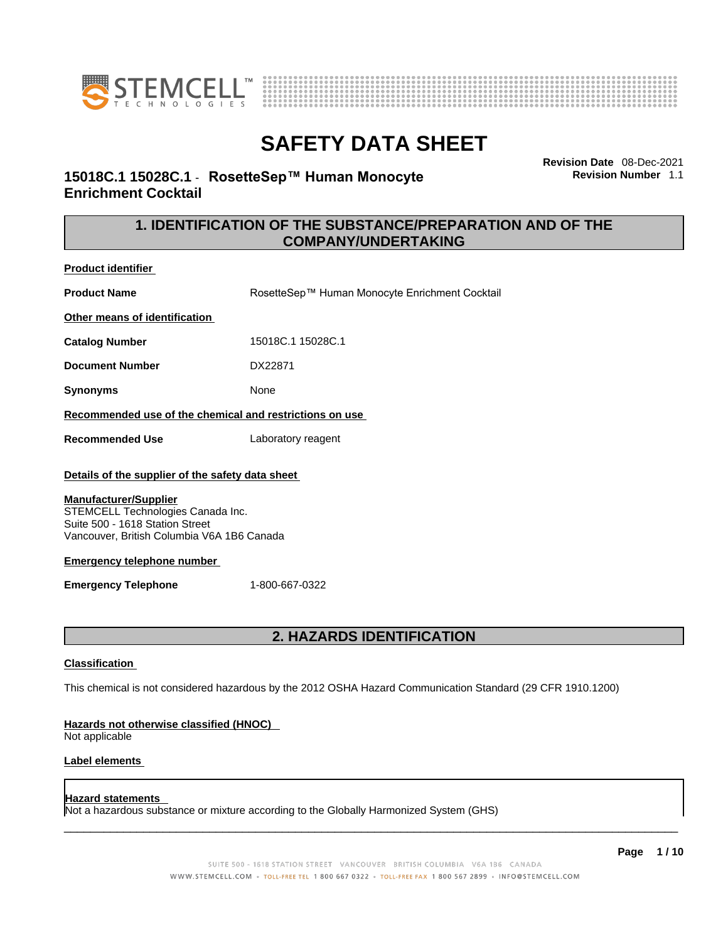



**Revision Date** 08-Dec-2021 **Revision Number** 1.1

### **15018C.1 15028C.1** - **RosetteSep™ Human Monocyte Enrichment Cocktail**

### **1. IDENTIFICATION OF THE SUBSTANCE/PREPARATION AND OF THE COMPANY/UNDERTAKING**

**Product identifier**

**Product Name** RosetteSep™ Human Monocyte Enrichment Cocktail **Other means of identification**

**Catalog Number** 15018C.1 15028C.1

**Document Number** DX22871

**Synonyms** None

#### **Recommended use of the chemical and restrictions on use**

**Recommended Use** Laboratory reagent

#### **Details of the supplier of the safety data sheet**

#### **Manufacturer/Supplier**

STEMCELL Technologies Canada Inc. Suite 500 - 1618 Station Street Vancouver, British Columbia V6A 1B6 Canada

#### **Emergency telephone number**

**Emergency Telephone** 1-800-667-0322

### **2. HAZARDS IDENTIFICATION**

#### **Classification**

This chemical is not considered hazardous by the 2012 OSHA Hazard Communication Standard (29 CFR 1910.1200)

#### **Hazards not otherwise classified (HNOC)**

Not applicable

#### **Label elements**

#### **Hazard statements**

Not a hazardous substance or mixture according to the Globally Harmonized System (GHS)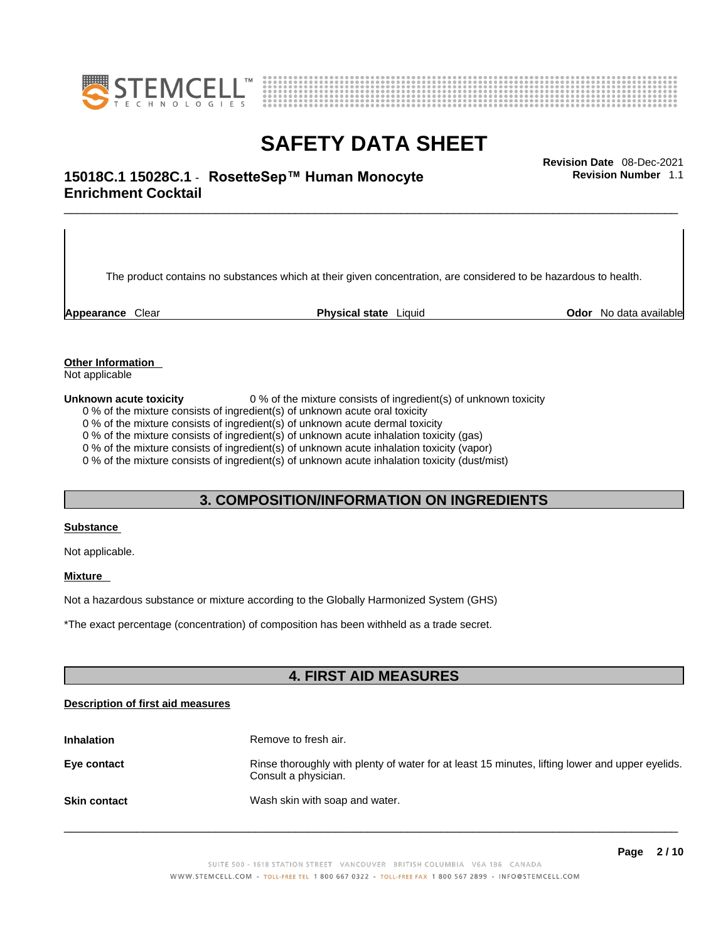



\_\_\_\_\_\_\_\_\_\_\_\_\_\_\_\_\_\_\_\_\_\_\_\_\_\_\_\_\_\_\_\_\_\_\_\_\_\_\_\_\_\_\_\_\_\_\_\_\_\_\_\_\_\_\_\_\_\_\_\_\_\_\_\_\_\_\_\_\_\_\_\_\_\_\_\_\_\_\_\_\_\_\_\_\_\_\_\_\_\_\_\_\_ **Revision Date** 08-Dec-2021 **15018C.1 15028C.1** - **RosetteSep™ Human Monocyte Enrichment Cocktail** 

The product contains no substances which at their given concentration, are considered to be hazardous to health.

**Appearance** Clear **Physical state** Liquid **Odor** No data available

**Revision Number** 1.1

**Other Information** 

Not applicable

**Unknown acute toxicity** 0 % of the mixture consists of ingredient(s) of unknown toxicity

0 % of the mixture consists of ingredient(s) of unknown acute oral toxicity

0 % of the mixture consists of ingredient(s) of unknown acute dermal toxicity

0 % of the mixture consists of ingredient(s) of unknown acute inhalation toxicity (gas)

0 % of the mixture consists of ingredient(s) of unknown acute inhalation toxicity (vapor)

0 % of the mixture consists of ingredient(s) of unknown acute inhalation toxicity (dust/mist)

#### **3. COMPOSITION/INFORMATION ON INGREDIENTS**

#### **Substance**

Not applicable.

#### **Mixture**

Not a hazardous substance or mixture according to the Globally Harmonized System (GHS)

\*The exact percentage (concentration) ofcomposition has been withheld as a trade secret.

#### **4. FIRST AID MEASURES**

#### **Description of first aid measures**

| <b>Inhalation</b>   | Remove to fresh air.                                                                                                    |
|---------------------|-------------------------------------------------------------------------------------------------------------------------|
| Eye contact         | Rinse thoroughly with plenty of water for at least 15 minutes, lifting lower and upper eyelids.<br>Consult a physician. |
| <b>Skin contact</b> | Wash skin with soap and water.                                                                                          |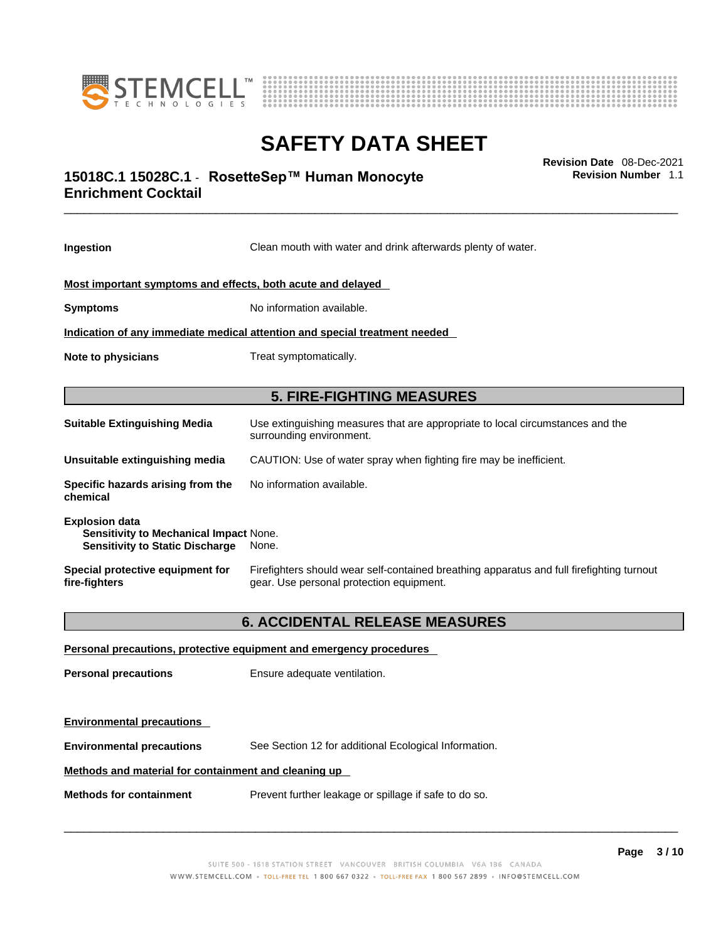



### \_\_\_\_\_\_\_\_\_\_\_\_\_\_\_\_\_\_\_\_\_\_\_\_\_\_\_\_\_\_\_\_\_\_\_\_\_\_\_\_\_\_\_\_\_\_\_\_\_\_\_\_\_\_\_\_\_\_\_\_\_\_\_\_\_\_\_\_\_\_\_\_\_\_\_\_\_\_\_\_\_\_\_\_\_\_\_\_\_\_\_\_\_ **Revision Date** 08-Dec-2021 **15018C.1 15028C.1** - **RosetteSep™ Human Monocyte Enrichment Cocktail**

**Ingestion** Clean mouth with water and drink afterwards plenty of water. **Most important symptoms and effects, both acute and delayed Symptoms** No information available. **Indication of any immediate medical attention and special treatment needed Note to physicians** Treat symptomatically. **5. FIRE-FIGHTING MEASURES Suitable Extinguishing Media** Use extinguishing measures that are appropriate to local circumstances and the surrounding environment. **Unsuitable extinguishing media** CAUTION: Use of water spray when fighting fire may be inefficient. **Specific hazards arising from the chemical** No information available. **Explosion data Sensitivity to Mechanical Impact** None. **Sensitivity to Static Discharge** None. **Special protective equipment for fire-fighters** Firefighters should wear self-contained breathing apparatus and full firefighting turnout gear. Use personal protection equipment. **6. ACCIDENTAL RELEASE MEASURES** 

**Personal precautions, protective equipment and emergency procedures Personal precautions** Ensure adequate ventilation. **Environmental precautions Environmental precautions** See Section 12 for additional Ecological Information. **Methods and material for containment and cleaning up Methods for containment** Prevent further leakage or spillage if safe to do so.

 $\_$  ,  $\_$  ,  $\_$  ,  $\_$  ,  $\_$  ,  $\_$  ,  $\_$  ,  $\_$  ,  $\_$  ,  $\_$  ,  $\_$  ,  $\_$  ,  $\_$  ,  $\_$  ,  $\_$  ,  $\_$  ,  $\_$  ,  $\_$  ,  $\_$  ,  $\_$  ,  $\_$  ,  $\_$  ,  $\_$  ,  $\_$  ,  $\_$  ,  $\_$  ,  $\_$  ,  $\_$  ,  $\_$  ,  $\_$  ,  $\_$  ,  $\_$  ,  $\_$  ,  $\_$  ,  $\_$  ,  $\_$  ,  $\_$  ,

**Revision Number** 1.1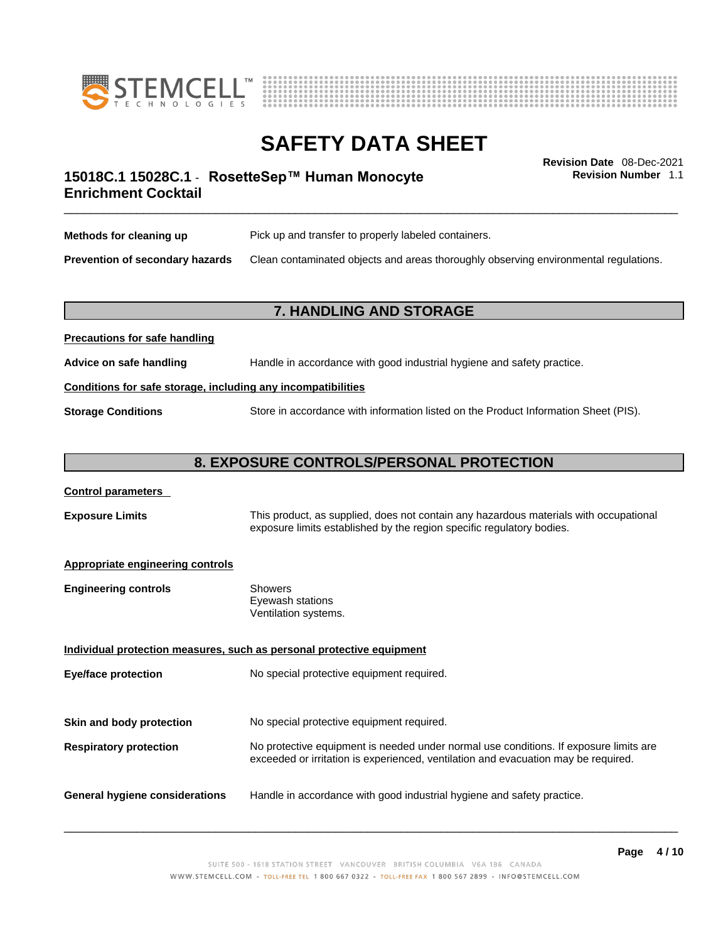



**Revision Number** 1.1

### \_\_\_\_\_\_\_\_\_\_\_\_\_\_\_\_\_\_\_\_\_\_\_\_\_\_\_\_\_\_\_\_\_\_\_\_\_\_\_\_\_\_\_\_\_\_\_\_\_\_\_\_\_\_\_\_\_\_\_\_\_\_\_\_\_\_\_\_\_\_\_\_\_\_\_\_\_\_\_\_\_\_\_\_\_\_\_\_\_\_\_\_\_ **Revision Date** 08-Dec-2021 **15018C.1 15028C.1** - **RosetteSep™ Human Monocyte Enrichment Cocktail**

| Methods for cleaning up         | Pick up and transfer to properly labeled containers.                                 |
|---------------------------------|--------------------------------------------------------------------------------------|
| Prevention of secondary hazards | Clean contaminated objects and areas thoroughly observing environmental regulations. |

#### **7. HANDLING AND STORAGE**

| Advice on safe handling   | Handle in accordance with good industrial hygiene and safety practice.              |  |
|---------------------------|-------------------------------------------------------------------------------------|--|
|                           | Conditions for safe storage, including any incompatibilities                        |  |
| <b>Storage Conditions</b> | Store in accordance with information listed on the Product Information Sheet (PIS). |  |

#### **8. EXPOSURE CONTROLS/PERSONAL PROTECTION**

#### **Control parameters**

**Precautions for safe handling**

**Exposure Limits** This product, as supplied, does not contain any hazardous materials with occupational exposure limits established by the region specific regulatory bodies.

#### **Appropriate engineering controls**

| Ventilation systems. |
|----------------------|
|                      |

**Individual protection measures, such as personal protective equipment Eye/face protection** No special protective equipment required. **Skin and body protection** No special protective equipment required. **Respiratory protection** No protective equipment is needed under normal use conditions. If exposure limits are exceeded or irritation is experienced, ventilation and evacuation may be required. **General hygiene considerations** Handle in accordance with good industrial hygiene and safety practice.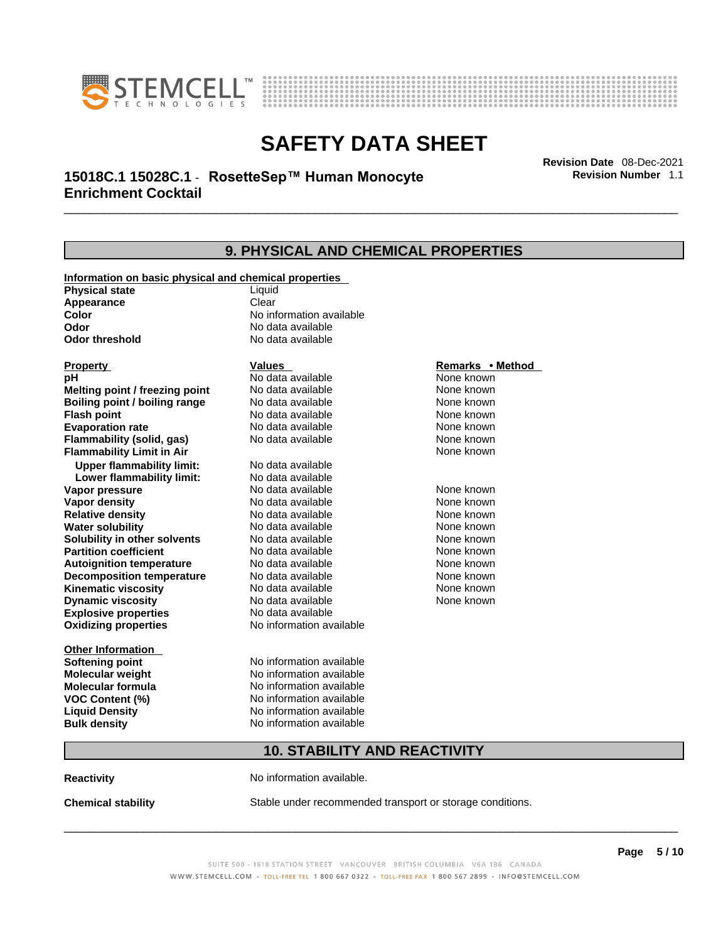



### \_\_\_\_\_\_\_\_\_\_\_\_\_\_\_\_\_\_\_\_\_\_\_\_\_\_\_\_\_\_\_\_\_\_\_\_\_\_\_\_\_\_\_\_\_\_\_\_\_\_\_\_\_\_\_\_\_\_\_\_\_\_\_\_\_\_\_\_\_\_\_\_\_\_\_\_\_\_\_\_\_\_\_\_\_\_\_\_\_\_\_\_\_ **Revision Date** 08-Dec-2021 **15018C.1 15028C.1** - **RosetteSep™ Human Monocyte Enrichment Cocktail**

**9. PHYSICAL AND CHEMICAL PROPERTIES Information on basic physical and chemical properties Physical state** Liquid **Appearance** Clear<br> **Color** No int **Color Color Color Color Color Color Color No** data available **Odor Odor Constanting Codor Constanting Codor Codor Codor Codor Codor Codor Codor Codor Codor Codor Codor Codor Codor Codor Codor Codor Codor Codor Codor Codor Codor Codor Codor No data available Explosive properties** No data available **Oxidizing properties** No information available **Other Information Softening point** No information available **Molecular weight** No information available **Molecular formula** No information available<br>**VOC Content (%)** No information available **VOC Content (%) Liquid Density** No information available **Bulk density No information available Property CONSCRUTE IN THE VALUES REMARKS • Method pH** No data available None known **Melting point / freezing point Boiling point / boiling range No data available None known Flash point Communist Communist Communist Communist Communist Communist Communist Communist Communist Communist Communist Communist Communist Communist Communist Communist Communist Communist Communist Communist Communi Evaporation rate Reserve ACC** No data available **None known** None known **Flammability (solid, gas)** No data available None known **Flammability Limit in Air None known None known Upper flammability limit:** No data available **Lower flammability limit:** No data available **Vapor pressure No data available None known Vapor density No data available None known Relative density Notata available None known Water solubility <br>
<b>Water solubility n** other solvents Modata available None known<br>
None known **Solubility in other solvents** No data available **None known**<br> **Partition coefficient** No data available None known **Partition coefficient**<br> **Autoignition temperature**<br>
No data available **Autoignition temperature** No data available None known<br> **Decomposition temperature** No data available None known **Decomposition temperature** No data available None known<br> **Kinematic viscosity** No data available None known **Kinematic viscosity** No data available<br> **Dynamic viscosity** No data available **Dynamic viscosity** None known

### **10. STABILITY AND REACTIVITY**

**Reactivity No information available.** 

**Chemical stability** Stable under recommended transport or storage conditions.

 $\_$  ,  $\_$  ,  $\_$  ,  $\_$  ,  $\_$  ,  $\_$  ,  $\_$  ,  $\_$  ,  $\_$  ,  $\_$  ,  $\_$  ,  $\_$  ,  $\_$  ,  $\_$  ,  $\_$  ,  $\_$  ,  $\_$  ,  $\_$  ,  $\_$  ,  $\_$  ,  $\_$  ,  $\_$  ,  $\_$  ,  $\_$  ,  $\_$  ,  $\_$  ,  $\_$  ,  $\_$  ,  $\_$  ,  $\_$  ,  $\_$  ,  $\_$  ,  $\_$  ,  $\_$  ,  $\_$  ,  $\_$  ,  $\_$  ,

**Revision Number** 1.1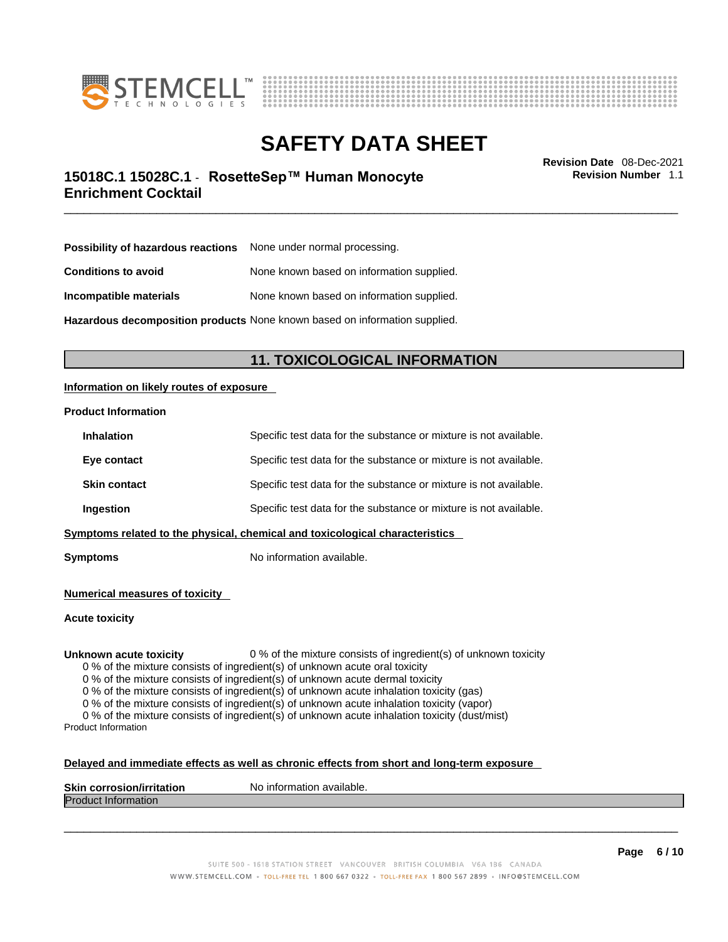



\_\_\_\_\_\_\_\_\_\_\_\_\_\_\_\_\_\_\_\_\_\_\_\_\_\_\_\_\_\_\_\_\_\_\_\_\_\_\_\_\_\_\_\_\_\_\_\_\_\_\_\_\_\_\_\_\_\_\_\_\_\_\_\_\_\_\_\_\_\_\_\_\_\_\_\_\_\_\_\_\_\_\_\_\_\_\_\_\_\_\_\_\_ **Revision Date** 08-Dec-2021 **15018C.1 15028C.1** - **RosetteSep™ Human Monocyte Enrichment Cocktail** 

**Revision Number** 1.1

| <b>Possibility of hazardous reactions</b> None under normal processing. |                                           |
|-------------------------------------------------------------------------|-------------------------------------------|
| <b>Conditions to avoid</b>                                              | None known based on information supplied. |
| Incompatible materials                                                  | None known based on information supplied. |

**Hazardous decomposition products** None known based on information supplied.

### **11. TOXICOLOGICAL INFORMATION**

#### **Information on likely routes of exposure**

#### **Product Information**

| <b>Inhalation</b>                                                                     | Specific test data for the substance or mixture is not available. |  |
|---------------------------------------------------------------------------------------|-------------------------------------------------------------------|--|
| Eye contact                                                                           | Specific test data for the substance or mixture is not available. |  |
| <b>Skin contact</b>                                                                   | Specific test data for the substance or mixture is not available. |  |
| Specific test data for the substance or mixture is not available.<br><b>Ingestion</b> |                                                                   |  |
| Symptoms related to the physical, chemical and toxicological characteristics          |                                                                   |  |

**Symptoms** No information available.

**Numerical measures of toxicity**

**Acute toxicity**

**Unknown acute toxicity** 0 % of the mixture consists of ingredient(s) of unknown toxicity

0 % of the mixture consists of ingredient(s) of unknown acute oral toxicity

0 % of the mixture consists of ingredient(s) of unknown acute dermal toxicity

0 % of the mixture consists of ingredient(s) of unknown acute inhalation toxicity (gas)

0 % of the mixture consists of ingredient(s) of unknown acute inhalation toxicity (vapor)

0 % of the mixture consists of ingredient(s) of unknown acute inhalation toxicity (dust/mist) Product Information

#### **Delayed and immediate effects as well as chronic effects from short and long-term exposure**

| <b>Skin corrosion/irritation</b> | No information available. |
|----------------------------------|---------------------------|
| Prod<br>mauon                    |                           |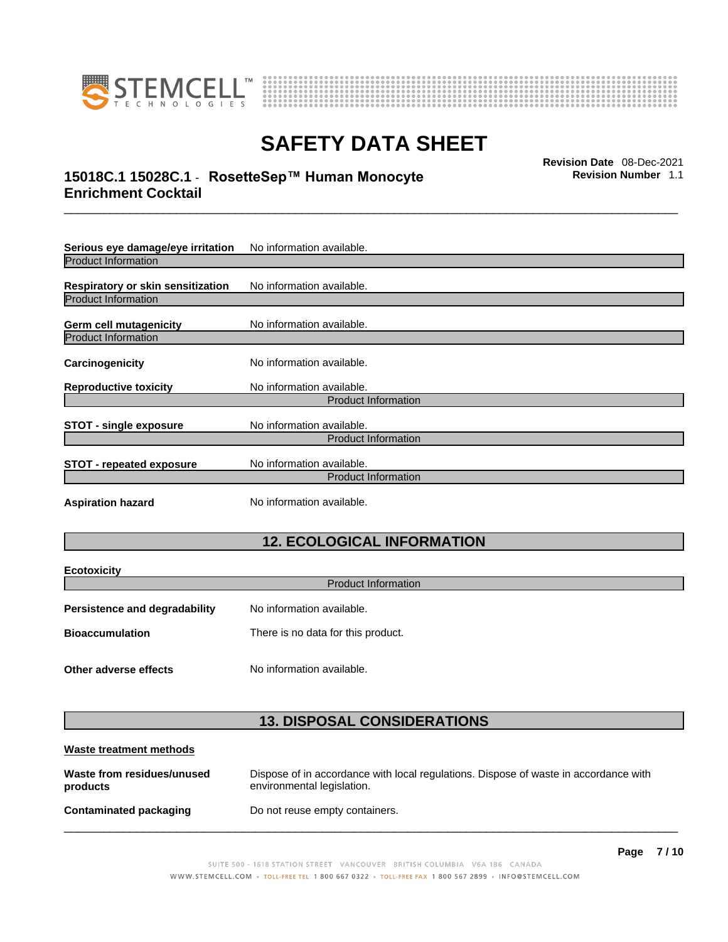



### \_\_\_\_\_\_\_\_\_\_\_\_\_\_\_\_\_\_\_\_\_\_\_\_\_\_\_\_\_\_\_\_\_\_\_\_\_\_\_\_\_\_\_\_\_\_\_\_\_\_\_\_\_\_\_\_\_\_\_\_\_\_\_\_\_\_\_\_\_\_\_\_\_\_\_\_\_\_\_\_\_\_\_\_\_\_\_\_\_\_\_\_\_ **Revision Date** 08-Dec-2021 **15018C.1 15028C.1** - **RosetteSep™ Human Monocyte Enrichment Cocktail**

**Revision Number** 1.1

| Serious eye damage/eye irritation                                      | No information available.                               |  |
|------------------------------------------------------------------------|---------------------------------------------------------|--|
| <b>Product Information</b>                                             |                                                         |  |
| <b>Respiratory or skin sensitization</b><br><b>Product Information</b> | No information available.                               |  |
| Germ cell mutagenicity                                                 | No information available.                               |  |
| <b>Product Information</b>                                             |                                                         |  |
| Carcinogenicity                                                        | No information available.                               |  |
| <b>Reproductive toxicity</b>                                           | No information available.                               |  |
| <b>Product Information</b>                                             |                                                         |  |
| <b>STOT - single exposure</b>                                          | No information available.<br><b>Product Information</b> |  |
|                                                                        |                                                         |  |
| <b>STOT - repeated exposure</b>                                        | No information available.                               |  |
|                                                                        | <b>Product Information</b>                              |  |
| <b>Aspiration hazard</b>                                               | No information available.                               |  |

## **12. ECOLOGICAL INFORMATION**

| <b>Ecotoxicity</b>                   |                                    |  |
|--------------------------------------|------------------------------------|--|
| <b>Product Information</b>           |                                    |  |
| <b>Persistence and degradability</b> | No information available.          |  |
| <b>Bioaccumulation</b>               | There is no data for this product. |  |
|                                      |                                    |  |
| Other adverse effects                | No information available.          |  |

### **13. DISPOSAL CONSIDERATIONS**

| Waste treatment methods                |                                                                                                                    |
|----------------------------------------|--------------------------------------------------------------------------------------------------------------------|
| Waste from residues/unused<br>products | Dispose of in accordance with local regulations. Dispose of waste in accordance with<br>environmental legislation. |
| Contaminated packaging                 | Do not reuse empty containers.                                                                                     |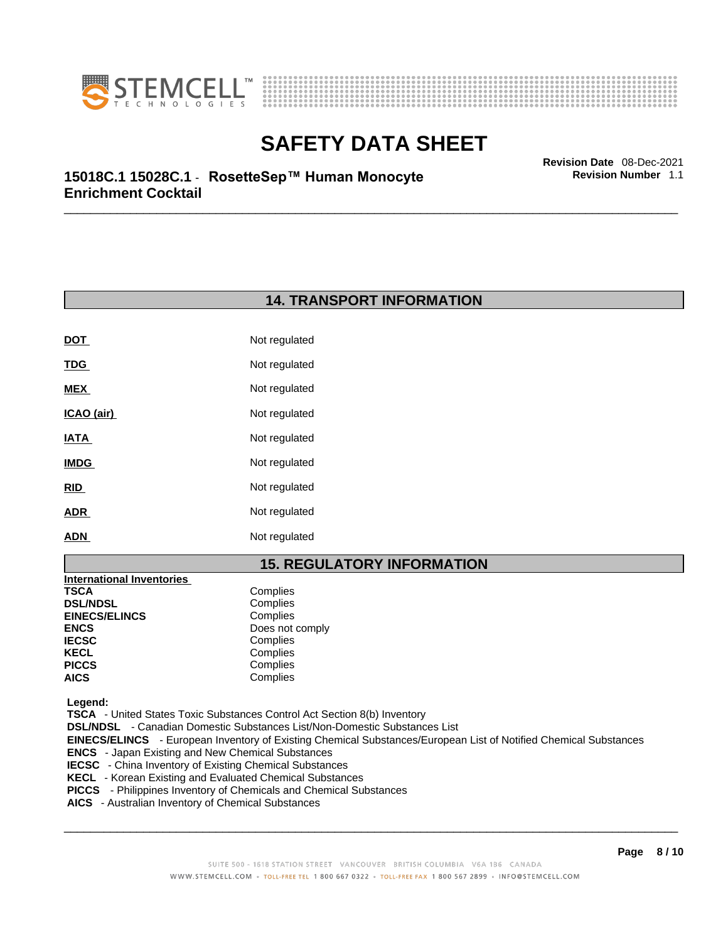



**Revision Number** 1.1

\_\_\_\_\_\_\_\_\_\_\_\_\_\_\_\_\_\_\_\_\_\_\_\_\_\_\_\_\_\_\_\_\_\_\_\_\_\_\_\_\_\_\_\_\_\_\_\_\_\_\_\_\_\_\_\_\_\_\_\_\_\_\_\_\_\_\_\_\_\_\_\_\_\_\_\_\_\_\_\_\_\_\_\_\_\_\_\_\_\_\_\_\_ **Revision Date** 08-Dec-2021 **15018C.1 15028C.1** - **RosetteSep™ Human Monocyte Enrichment Cocktail** 

### **14. TRANSPORT INFORMATION**

| Not regulated |
|---------------|
| Not regulated |
| Not regulated |
| Not regulated |
| Not regulated |
| Not regulated |
| Not regulated |
| Not regulated |
| Not regulated |
|               |

### **15. REGULATORY INFORMATION**

| <b>International Inventories</b> |                 |
|----------------------------------|-----------------|
| TSCA                             | Complies        |
| <b>DSL/NDSL</b>                  | Complies        |
| <b>EINECS/ELINCS</b>             | Complies        |
| ENCS                             | Does not comply |
| <b>IECSC</b>                     | Complies        |
| KECL                             | Complies        |
| PICCS                            | Complies        |
| AICS                             | Complies        |
|                                  |                 |

 **Legend:** 

 **TSCA** - United States Toxic Substances Control Act Section 8(b) Inventory

 **DSL/NDSL** - Canadian Domestic Substances List/Non-Domestic Substances List

 **EINECS/ELINCS** - European Inventory of Existing Chemical Substances/European List of Notified Chemical Substances

- **ENCS**  Japan Existing and New Chemical Substances
- **IECSC**  China Inventory of Existing Chemical Substances
- **KECL**  Korean Existing and Evaluated Chemical Substances
- **PICCS**  Philippines Inventory of Chemicals and Chemical Substances
- **AICS**  Australian Inventory of Chemical Substances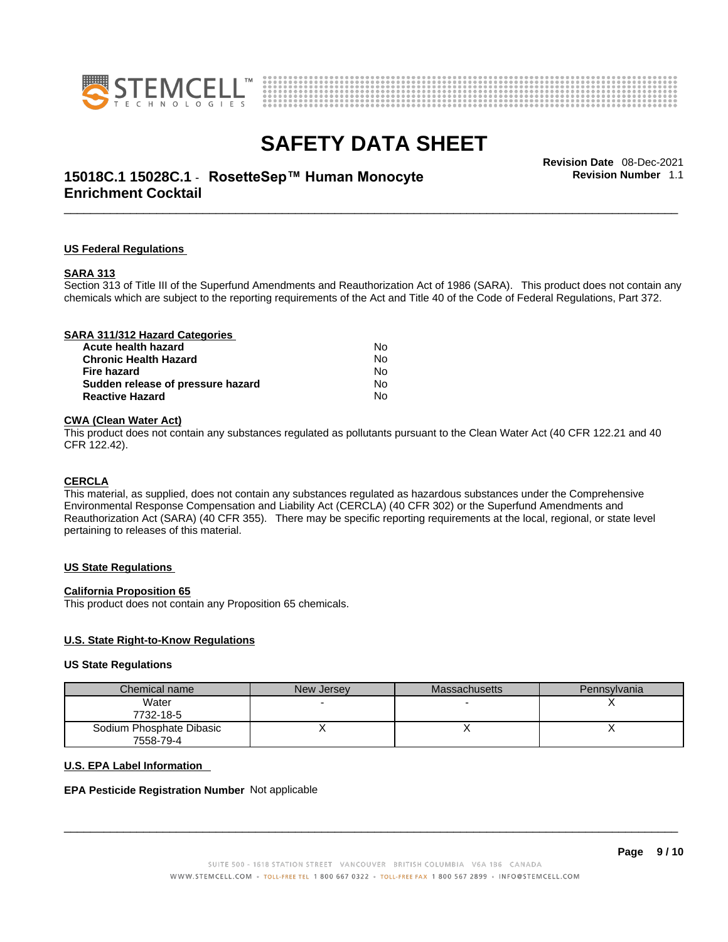



### \_\_\_\_\_\_\_\_\_\_\_\_\_\_\_\_\_\_\_\_\_\_\_\_\_\_\_\_\_\_\_\_\_\_\_\_\_\_\_\_\_\_\_\_\_\_\_\_\_\_\_\_\_\_\_\_\_\_\_\_\_\_\_\_\_\_\_\_\_\_\_\_\_\_\_\_\_\_\_\_\_\_\_\_\_\_\_\_\_\_\_\_\_ **Revision Date** 08-Dec-2021 **15018C.1 15028C.1** - **RosetteSep™ Human Monocyte Enrichment Cocktail**

**Revision Number** 1.1

#### **US Federal Regulations**

#### **SARA 313**

Section 313 of Title III of the Superfund Amendments and Reauthorization Act of 1986 (SARA). This product does not contain any chemicals which are subject to the reporting requirements of the Act and Title 40 of the Code of Federal Regulations, Part 372.

| SARA 311/312 Hazard Categories    |           |  |
|-----------------------------------|-----------|--|
| Acute health hazard               | N٥        |  |
| <b>Chronic Health Hazard</b>      | <b>No</b> |  |
| Fire hazard                       | No        |  |
| Sudden release of pressure hazard | Nο        |  |
| <b>Reactive Hazard</b>            | No        |  |

#### **CWA** (Clean Water Act)

This product does not contain any substances regulated as pollutants pursuant to the Clean Water Act (40 CFR 122.21 and 40 CFR 122.42).

#### **CERCLA**

This material, as supplied, does not contain any substances regulated as hazardous substances under the Comprehensive Environmental Response Compensation and Liability Act (CERCLA) (40 CFR 302) or the Superfund Amendments and Reauthorization Act (SARA) (40 CFR 355). There may be specific reporting requirements at the local, regional, or state level pertaining to releases of this material.

#### **US State Regulations**

#### **California Proposition 65**

This product does not contain any Proposition 65 chemicals.

#### **U.S. State Right-to-Know Regulations**

#### **US State Regulations**

| Chemical name            | New Jersey | <b>Massachusetts</b> | Pennsylvania |
|--------------------------|------------|----------------------|--------------|
| Water                    |            |                      |              |
| 7732-18-5                |            |                      |              |
| Sodium Phosphate Dibasic |            |                      |              |
| 7558-79-4                |            |                      |              |

#### **U.S. EPA Label Information**

#### **EPA Pesticide Registration Number** Not applicable